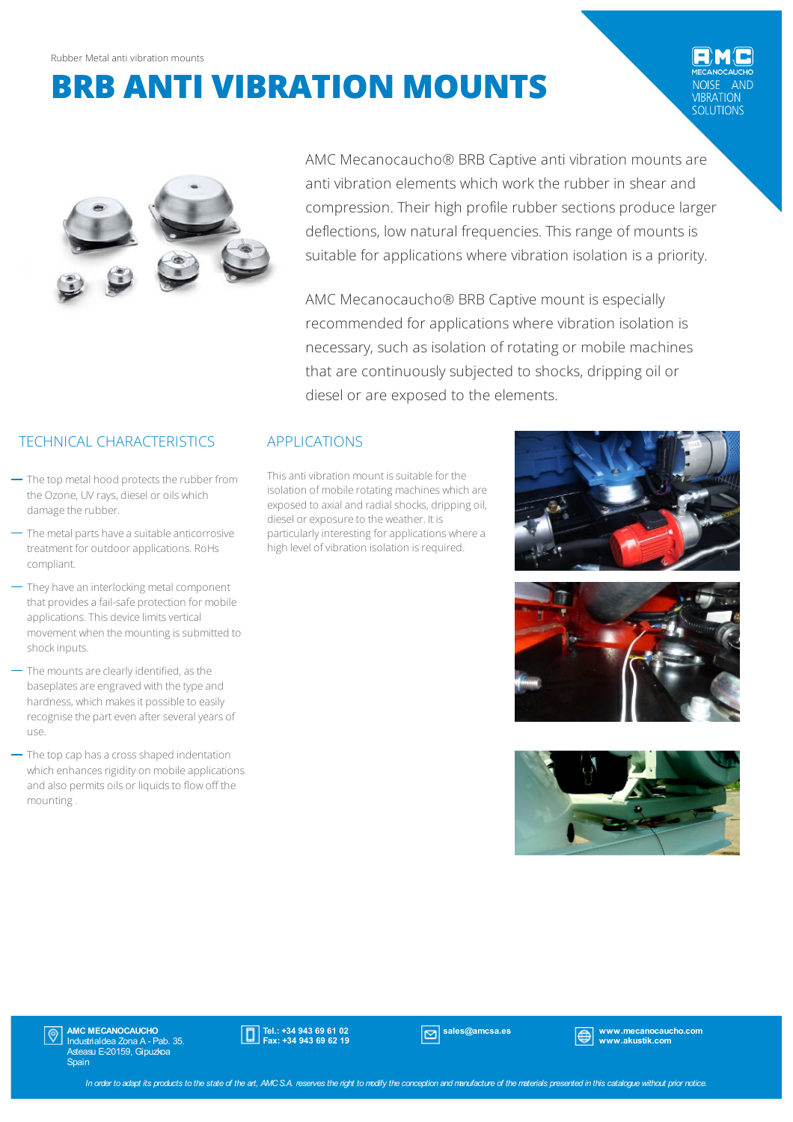**AND IBRATION** SOLUTIONS



AMC Mecanocaucho® BRB Captive anti vibration mounts are anti vibration elements which work the rubber in shear and compression. Their high profile rubber sections produce larger deflections, low natural frequencies. This range of mounts is suitable for applications where vibration isolation is a priority.

AMC Mecanocaucho® BRB Captive mount is especially recommended for applications where vibration isolation is necessary, such as isolation of rotating or mobile machines that are continuously subjected to shocks, dripping oil or diesel or are exposed to the elements.

## TECHNICAL CHARACTERISTICS APPLICATIONS

- $-$  The top metal hood protects the rubber from the Ozone, UV rays, diesel or oils which damage the rubber.
- $-$  The metal parts have a suitable anticorrosive treatment for outdoorapplications. RoHs compliant.
- They have an interlocking metal component that provides a fail-safe protection for mobile applications. This device limits vertical movement when the mounting is submitted to shockinputs.
- The mounts are clearly identified, as the baseplates are engraved with the type and hardness, which makes it possible to easily recognise the part even after several years of use.
- The top cap has a cross shaped indentation which enhances rigidity on mobile applications and also permits oils or liquids to flow off the mounting.

This anti vibration mount is suitable for the isolation of mobile rotating machines which are exposed to axial and radial shocks, dripping oil, diesel or exposure to the weather. It is particularly interesting for applications where a high level of vibration isolation is required.







**AMC MECANOCAUCHO**<br>Industrialdea Zona A - Pab. 35. Asteasu E-20159, Gipuzkoa **Spain** 



sales@amcsa.es www.mecanocaucho.com www.akustik.com

In order to adapt its products to the state of the art, AMCS.A. reserves the right to modify the conception and manufacture of the materials presented in this catalogue without prior notice.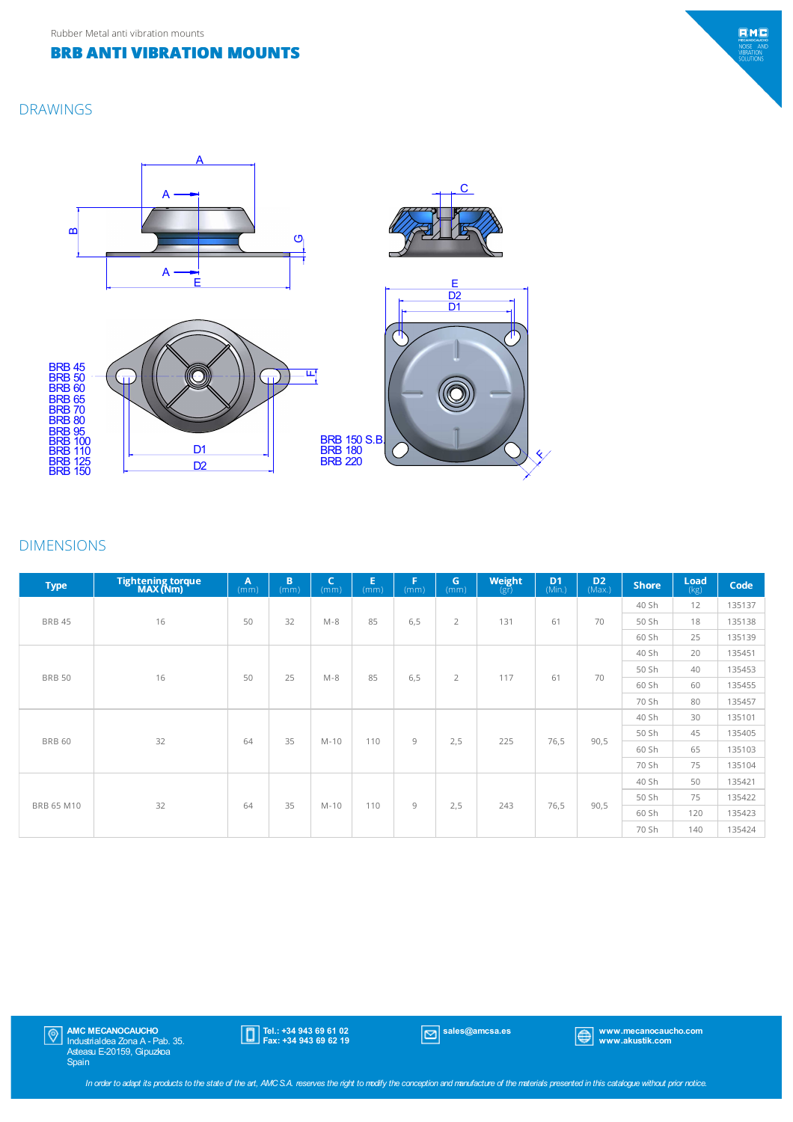#### DRAWINGS



#### DIMENSIONS

| <b>Type</b>   | Tightening torque<br>MAX (Nm) | $\mathbf{A}$<br>(mm) | B<br>(mm) | $\mathsf{C}$<br>(mm) | E.<br>(mm) | F.<br>(m <sub>m</sub> ) | G<br>(mm)      | Weight<br>(gr) | D <sub>1</sub><br>(Min.) | $D2$ (Max.) | <b>Shore</b> | Load<br>(kg)                                                                 | Code   |
|---------------|-------------------------------|----------------------|-----------|----------------------|------------|-------------------------|----------------|----------------|--------------------------|-------------|--------------|------------------------------------------------------------------------------|--------|
|               |                               |                      |           |                      |            |                         |                |                |                          |             | 40 Sh        | 12                                                                           | 135137 |
| <b>BRB 45</b> | 16                            | 50                   | 32        | $M-8$                | 85         | 6,5                     | $\overline{2}$ | 131            | 61                       | 70          | 50 Sh        | 18                                                                           | 135138 |
|               |                               |                      |           |                      |            |                         |                |                |                          |             | 60 Sh        | 25<br>20<br>40<br>60<br>80<br>30<br>45<br>65<br>75<br>50<br>75<br>120<br>140 | 135139 |
|               |                               |                      |           |                      |            |                         |                |                |                          |             | 40 Sh        |                                                                              | 135451 |
|               | 16                            | 50                   | 25        | $M-8$                | 85         | 6,5                     | $\overline{2}$ | 117            | 61                       | 70          | 50 Sh        |                                                                              | 135453 |
| <b>BRB 50</b> |                               |                      |           |                      |            |                         |                |                |                          |             | 60 Sh        |                                                                              | 135455 |
|               |                               |                      |           |                      |            |                         |                |                |                          |             | 70 Sh        |                                                                              | 135457 |
|               |                               |                      |           |                      |            |                         |                |                |                          |             | 40 Sh        |                                                                              | 135101 |
| <b>BRB 60</b> | 32                            | 64                   | 35        | $M-10$               | 110        | 9                       | 2,5            | 225            | 76,5                     | 90,5        | 50 Sh        |                                                                              | 135405 |
|               |                               |                      |           |                      |            |                         |                |                |                          |             | 60 Sh        |                                                                              | 135103 |
|               |                               |                      |           |                      |            |                         |                |                |                          |             | 70 Sh        |                                                                              | 135104 |
|               |                               |                      |           |                      |            |                         |                |                |                          |             | 40 Sh        |                                                                              | 135421 |
| BRB 65 M10    |                               |                      | 35        | $M-10$               | 110        | 9                       |                | 243            |                          | 90,5        | 50 Sh        |                                                                              | 135422 |
|               | 32                            | 64                   |           |                      |            |                         | 2,5            |                | 76,5                     |             | 60 Sh        |                                                                              | 135423 |
|               |                               |                      |           |                      |            |                         |                |                |                          |             | 70 Sh        |                                                                              | 135424 |

Tel.: +34 943 69 61 02 Fax: +34 943 69 62 19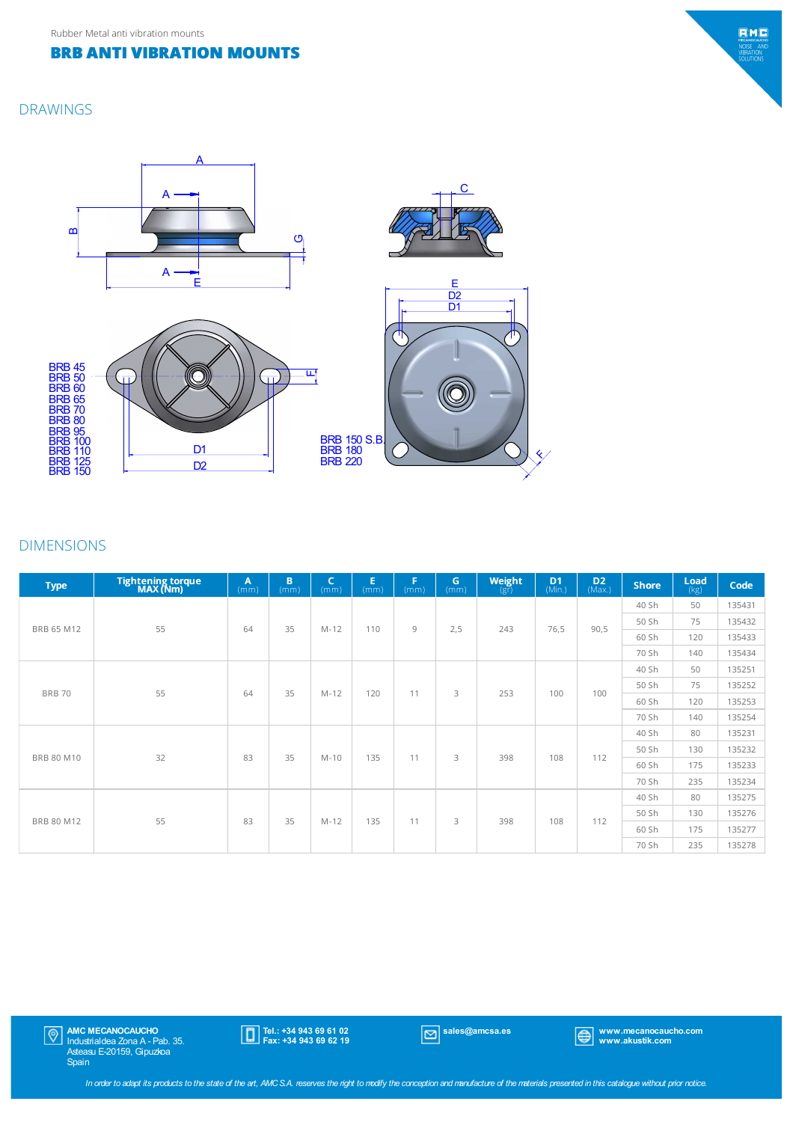#### DRAWINGS



#### DIMENSIONS

| <b>Type</b>   | Tightening torque<br>MAX (Nm) | A<br>(mm) | B<br>(mm) | $\mathsf{C}$<br>(mm) | E.<br>(mm) | F<br>(mm) | G<br>(mm) | Weight<br>$(g\bar{r})$ | D <sub>1</sub><br>(Min.) | $D2$ (Max.) | <b>Shore</b> | Load<br>(kg)                                                                        | Code   |
|---------------|-------------------------------|-----------|-----------|----------------------|------------|-----------|-----------|------------------------|--------------------------|-------------|--------------|-------------------------------------------------------------------------------------|--------|
|               |                               | 64        |           |                      | 110        | 9         |           |                        |                          |             | 40 Sh        | 50                                                                                  | 135431 |
|               | 55                            |           | 35        |                      |            |           |           |                        |                          |             | 50 Sh        | 75                                                                                  | 135432 |
| BRB 65 M12    |                               |           |           | $M - 12$             |            |           | 2,5       | 243                    | 76,5                     | 90,5        | 60 Sh        | 120                                                                                 | 135433 |
|               |                               |           |           |                      |            |           |           |                        |                          |             | 70 Sh        | 140<br>50<br>75<br>120<br>140<br>80<br>130<br>175<br>235<br>80<br>130<br>175<br>235 | 135434 |
|               |                               |           |           |                      |            |           |           |                        |                          |             | 40 Sh        |                                                                                     | 135251 |
| <b>BRB 70</b> | 55                            | 64        | 35        | $M - 12$             | 120        | 11        | 3         | 253                    | 100                      | 100         | 50 Sh        |                                                                                     | 135252 |
|               |                               |           |           |                      |            |           |           |                        |                          |             | 60 Sh        |                                                                                     | 135253 |
|               |                               |           |           |                      |            |           |           |                        |                          |             | 70 Sh        |                                                                                     | 135254 |
|               |                               | 83        | 35        | $M-10$               | 135        | 11        | 3         | 398                    |                          |             | 40 Sh        |                                                                                     | 135231 |
| BRB 80 M10    | 32                            |           |           |                      |            |           |           |                        | 108                      | 112         | 50 Sh        |                                                                                     | 135232 |
|               |                               |           |           |                      |            |           |           |                        |                          |             | 60 Sh        |                                                                                     | 135233 |
|               |                               |           |           |                      |            |           |           |                        |                          |             | 70 Sh        |                                                                                     | 135234 |
|               |                               |           |           |                      |            |           |           |                        |                          |             | 40 Sh        |                                                                                     | 135275 |
| BRB 80 M12    | 55                            | 83        | 35        | $M - 12$             | 135        | 11        | 3         | 398                    | 108                      | 112         | 50 Sh        |                                                                                     | 135276 |
|               |                               |           |           |                      |            |           |           |                        |                          |             | 60 Sh        |                                                                                     | 135277 |
|               |                               |           |           |                      |            |           |           |                        |                          |             | 70 Sh        |                                                                                     | 135278 |

Tel.: +34 943 69 61 02 Fax: +34 943 69 62 19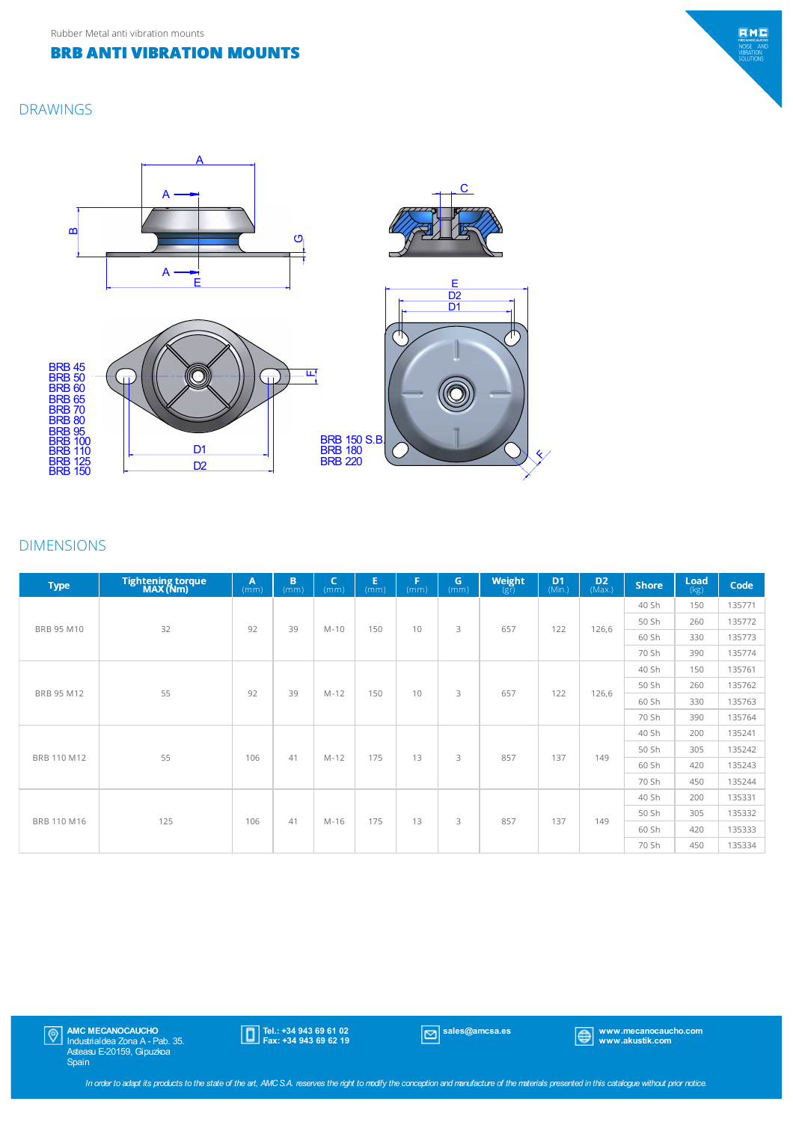#### DRAWINGS



#### DIMENSIONS

| <b>Type</b> | Tightening torque<br>MAX (Nm) | $\mathbf{A}$<br>(mm) | B<br>(mm) | C<br>(mm) | E<br>(mm) | F<br>(mm) | G<br>(mm) | Weight<br>$(g\bar{r})$ | D <sub>1</sub><br>(Min.) | $D2$ (Max.) | <b>Shore</b> | $\frac{\text{Load}}{\text{(kg)}}$                                                       | Code   |
|-------------|-------------------------------|----------------------|-----------|-----------|-----------|-----------|-----------|------------------------|--------------------------|-------------|--------------|-----------------------------------------------------------------------------------------|--------|
|             |                               |                      |           |           |           |           |           |                        |                          |             | 40 Sh        | 150                                                                                     | 135771 |
| BRB 95 M10  | 32                            | 92                   | 39        | $M-10$    | 150       | 10        | 3         | 657                    | 122                      | 126,6       | 50 Sh        | 260                                                                                     | 135772 |
|             |                               |                      |           |           |           |           |           |                        |                          |             | 60 Sh        | 330                                                                                     | 135773 |
|             |                               |                      |           |           |           |           |           |                        |                          |             | 70 Sh        | 390<br>150<br>260<br>330<br>390<br>200<br>305<br>420<br>450<br>200<br>305<br>420<br>450 | 135774 |
|             |                               |                      |           |           |           |           |           | 657                    |                          | 126,6       | 40 Sh        |                                                                                         | 135761 |
| BRB 95 M12  | 55                            | 92                   | 39        | $M-12$    | 150       | 10        | 3         |                        | 122                      |             | 50 Sh        |                                                                                         | 135762 |
|             |                               |                      |           |           |           |           |           |                        |                          |             | 60 Sh        |                                                                                         | 135763 |
|             |                               |                      |           |           |           |           |           |                        |                          |             | 70 Sh        |                                                                                         | 135764 |
|             |                               |                      |           |           |           |           |           |                        |                          |             | 40 Sh        |                                                                                         | 135241 |
| BRB 110 M12 | 55                            | 106                  | 41        | $M-12$    | 175       | 13        | 3         | 857                    | 137                      | 149         | 50 Sh        | 60 Sh<br>70 Sh<br>40 Sh                                                                 | 135242 |
|             |                               |                      |           |           |           |           |           |                        |                          |             |              |                                                                                         | 135243 |
|             |                               |                      |           |           |           |           |           |                        |                          |             |              |                                                                                         | 135244 |
|             |                               |                      |           |           |           | 13        |           |                        |                          |             |              |                                                                                         | 135331 |
| BRB 110 M16 |                               | 106                  | 41        | M-16      | 175       |           | 3         | 857                    | 137                      | 149         | 50 Sh        |                                                                                         | 135332 |
|             | 125                           |                      |           |           |           |           |           |                        |                          |             | 60 Sh        |                                                                                         | 135333 |
|             |                               |                      |           |           |           |           |           |                        |                          |             | 70 Sh        |                                                                                         | 135334 |

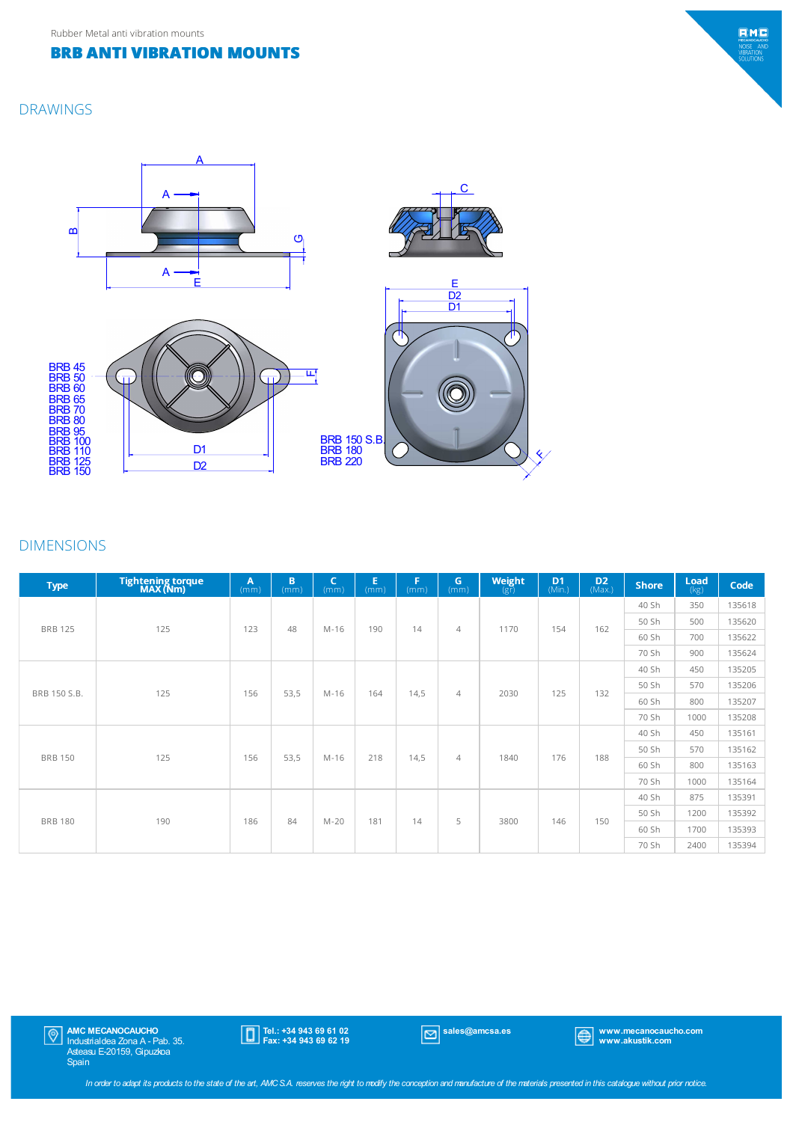#### DRAWINGS



### DIMENSIONS

| <b>Type</b>    | Tightening torque<br>MAX (Nm) | A<br>(mm) | B<br>(mm) | C<br>(mm) | Е<br>(mm) | F<br>(mm) | G.<br>(mm)     | Weight<br>$(g\bar{r})$ | D <sub>1</sub><br>(Min.) | $D2$ (Max.) | <b>Shore</b> | <b>Load</b><br>(kg)                                                                          | Code   |
|----------------|-------------------------------|-----------|-----------|-----------|-----------|-----------|----------------|------------------------|--------------------------|-------------|--------------|----------------------------------------------------------------------------------------------|--------|
|                |                               |           |           |           |           |           |                |                        |                          |             | 40 Sh        | 350                                                                                          | 135618 |
| <b>BRB 125</b> | 125                           | 123       | 48        | $M-16$    | 190       | 14        | $\overline{4}$ | 1170                   | 154                      | 162         | 50 Sh        | 500                                                                                          | 135620 |
|                |                               |           |           |           |           |           |                |                        |                          |             | 60 Sh        | 700                                                                                          | 135622 |
|                |                               |           |           |           |           |           |                |                        |                          |             | 70 Sh        | 900<br>450<br>570<br>800<br>1000<br>450<br>570<br>800<br>1000<br>875<br>1200<br>1700<br>2400 | 135624 |
|                |                               |           |           |           |           |           |                | 2030                   |                          | 132         | 40 Sh        |                                                                                              | 135205 |
| BRB 150 S.B.   | 125                           | 156       | 53,5      | $M-16$    | 164       | 14,5      | $\overline{4}$ |                        | 125                      |             | 50 Sh        |                                                                                              | 135206 |
|                |                               |           |           |           |           |           |                |                        |                          |             | 60 Sh        |                                                                                              | 135207 |
|                |                               |           |           |           |           |           |                |                        |                          |             | 70 Sh        |                                                                                              | 135208 |
|                |                               |           |           |           |           |           |                |                        |                          |             | 40 Sh        |                                                                                              | 135161 |
| <b>BRB 150</b> | 125                           | 156       | 53,5      | $M-16$    | 218       | 14,5      | $\overline{4}$ | 1840                   | 176                      | 188         | 50 Sh        |                                                                                              | 135162 |
|                |                               |           |           |           |           |           |                |                        |                          |             | 60 Sh        |                                                                                              | 135163 |
|                |                               |           |           |           |           |           |                |                        |                          |             | 70 Sh        |                                                                                              | 135164 |
|                |                               |           |           |           |           |           |                |                        | 146                      |             | 40 Sh        |                                                                                              | 135391 |
| <b>BRB 180</b> | 190                           | 186       | 84        | $M-20$    | 181       | 14        | 5              | 3800                   |                          | 150         | 50 Sh        |                                                                                              | 135392 |
|                |                               |           |           |           |           |           |                |                        |                          |             | 60 Sh        |                                                                                              | 135393 |
|                |                               |           |           |           |           |           |                |                        |                          |             | 70 Sh        |                                                                                              | 135394 |

AMC MECANOCAUCHO Industrialdea Zona A - Pab. 35. Asteasu E-20159, Gipuzkoa Spain

Tel.: +34 943 69 61 02 Fax: +34 943 69 62 19

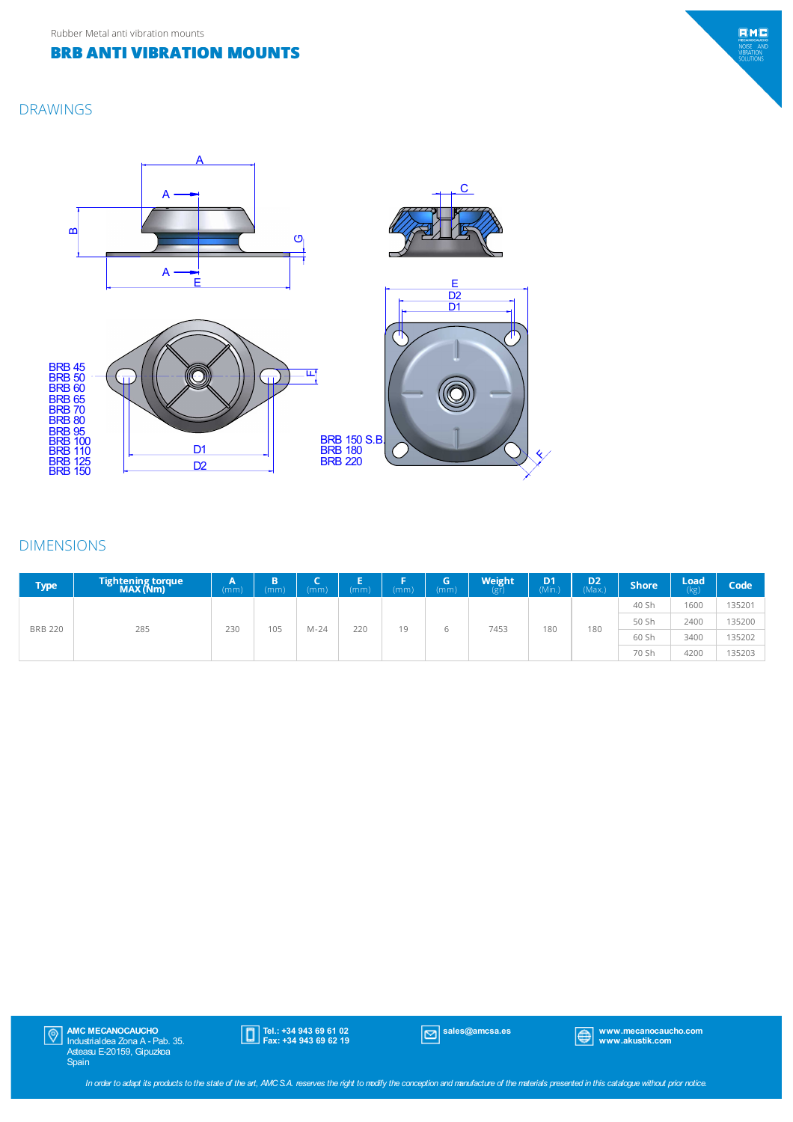### DRAWINGS



#### DIMENSIONS

| <b>Type</b>    | Tightening torque<br>MAX (Nm) | А<br>(mm) | B<br>(mm) | (mm)   | Е<br>(mm) | (mm) | (mm) | <b>Weight</b> | D <sub>1</sub><br>(Min.) | D <sub>2</sub><br>(Max) | <b>Shore</b> | Load<br>(kg) | Code   |
|----------------|-------------------------------|-----------|-----------|--------|-----------|------|------|---------------|--------------------------|-------------------------|--------------|--------------|--------|
| <b>BRB 220</b> |                               | 230       | 105       | $M-24$ | 220       | 19   | h    | 7453          | 180                      | 180                     | 40 Sh        | 1600         | 135201 |
|                |                               |           |           |        |           |      |      |               |                          |                         | 50 Sh        | 2400         | 135200 |
|                | 285                           |           |           |        |           |      |      |               |                          |                         | 60 Sh        | 3400         | 135202 |
|                |                               |           |           |        |           |      |      |               |                          |                         | 70 Sh        | 4200         | 135203 |



Tel.: +34 943 69 61 02 Fax: +34 943 69 62 19

sales@amcsa.es www.mecanocaucho.com www.akustik.com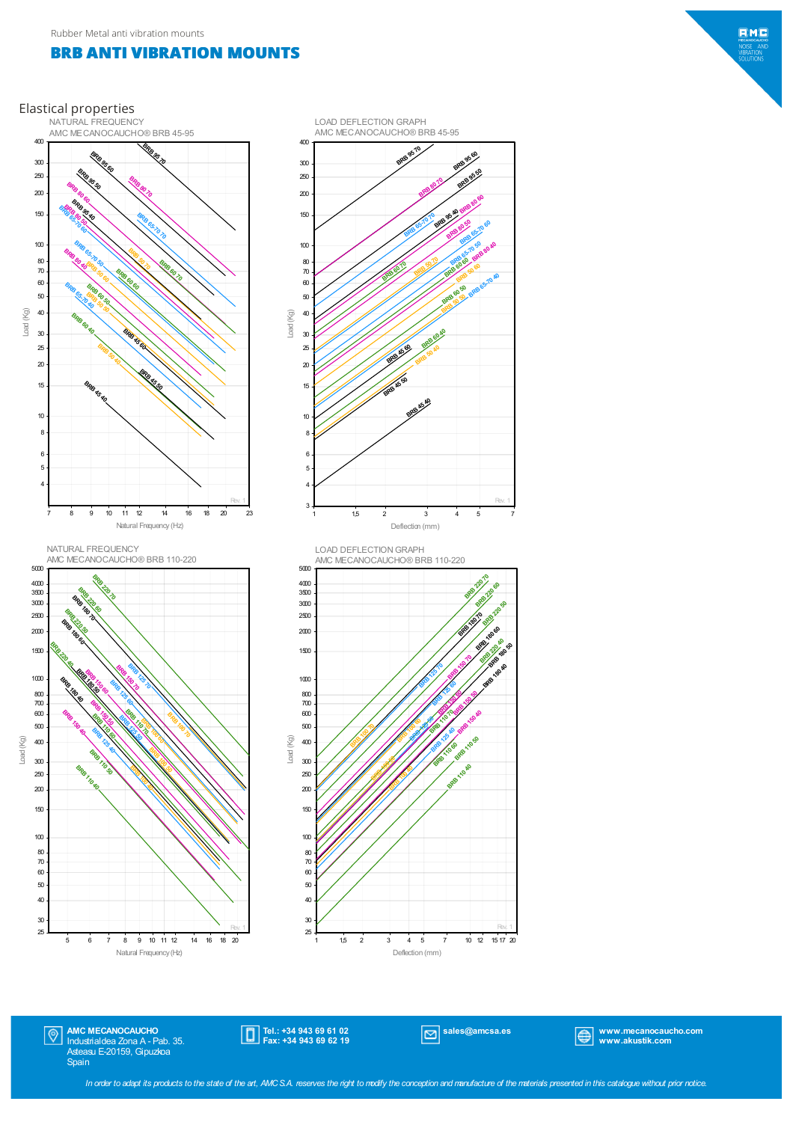





AMC MECANOCAUCHO Industrialdea Zona A - Pab. 35. Asteasu E-20159, Gipuzkoa Spain  $|\mathbb{Q}|$ 

25 30

Natural Frequency(Hz) 5 6 7 8 9 10 11 12 14 16 18 20

Tel.: +34 943 69 61 02 Fax: +34 943 69 62 19

Rev. 1

sales@amcsa.es www.mecanocaucho.com www.akustik.com